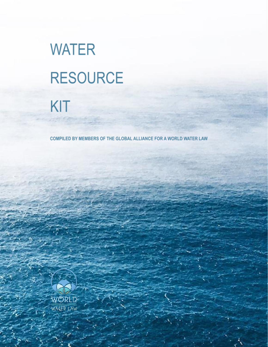# **WATER RESOURCE** KIT

COMPILED BY MEMBERS OF THE GLOBAL ALLIANCE FOR A WORLD WATER LAW

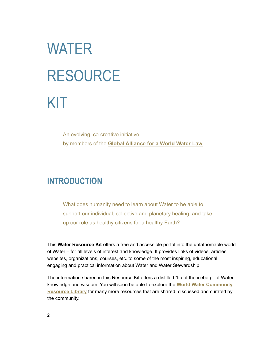# WATER RESOURCE KIT

An evolving, co-creative initiative by members of the **[Global Alliance for a World Water](https://www.worldwatercommunity.com/global-alliance/) Law**

### **INTRODUCTION**

What does humanity need to learn about Water to be able to support our individual, collective and planetary healing, and take up our role as healthy citizens for a healthy Earth?

This **Water Resource Kit** offers a free and accessible portal into the unfathomable world of Water – for all levels of interest and knowledge. It provides links of videos, articles, websites, organizations, courses, etc. to some of the most inspiring, educational, engaging and practical information about Water and Water Stewardship.

The information shared in this Resource Kit offers a distilled "tip of the iceberg" of Water knowledge and wisdom. You will soon be able to explore the **World Water [Community](https://www.worldwatercommunity.com/resource-library/) [Resource](https://www.worldwatercommunity.com/resource-library/) Library** for many more resources that are shared, discussed and curated by the community.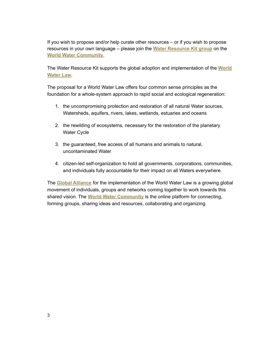If you wish to propose and/or help curate other resources – or if you wish to propose resources in your own language – please join the **Water [Resource](https://www.worldwatercommunity.com/groups/water-resource-kit/) Kit group** on the **World Water [Community](https://www.worldwatercommunity.com/)**.

The Water Resource Kit supports the global adoption and implementation of the **[World](https://www.worldwatercommunity.com/world-water-law/) [Water](https://www.worldwatercommunity.com/world-water-law/) Law**.

The proposal for a World Water Law offers four common sense principles as the foundation for a whole-system approach to rapid social and ecological regeneration:

- 1. the uncompromising protection and restoration of all natural Water sources, Watersheds, aquifers, rivers, lakes, wetlands, estuaries and oceans
- 2. the rewilding of ecosystems, necessary for the restoration of the planetary Water Cycle
- 3. the guaranteed, free access of all humans and animals to natural, uncontaminated Water
- 4. citizen-led self-organization to hold all governments, corporations, communities, and individuals fully accountable for their impact on all Waters everywhere.

The **Global [Alliance](https://www.worldwatercommunity.com/global-alliance/)** for the implementation of the World Water Law is a growing global movement of individuals, groups and networks coming together to work towards this shared vision. The **World Water [Community](https://www.worldwatercommunity.com/)** is the online platform for connecting, forming groups, sharing ideas and resources, collaborating and organizing.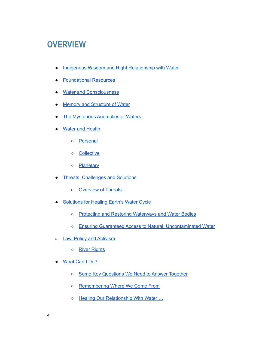# **OVERVIEW**

- Indigenous Wisdom and Right [Relationship](#page-5-0) with Water
- [Foundational](#page-6-0) Resources
- Water and [Consciousness](#page-6-1)
- Memory and [Structure](#page-7-0) of Water
- The [Mysterious](#page-7-1) Anomalies of Waters
- Water and [Health](#page-7-2)
	- [Personal](#page-8-0)
	- [Collective](#page-10-0)
	- [Planetary](#page-10-1)
- Threats, [Challenges](#page-11-0) and Solutions
	- [Overview](#page-11-1) of Threats
- [Solutions](#page-14-0) for Healing Earth's Water Cycle
	- o Protecting and Restoring [Waterways](#page-14-1) and Water Bodies
	- Ensuring Guaranteed Access to Natural, [Uncontaminated](#page-16-0) Water
- o Law, Policy and [Activism](#page-17-0)
	- River [Rights](#page-18-0)
- [What](#page-18-1) Can I Do?
	- Some Key [Questions](#page-18-2) We Need to Answer Together
	- [Remembering](#page-19-0) Where We Come From
	- o Healing Our [Relationship](#page-19-1) With Water ...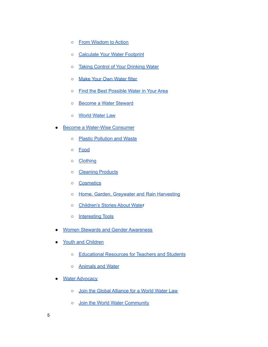- o From [Wisdom](#page-19-2) to Action
- [Calculate](#page-19-3) Your Water Footprint
- Taking Control of Your [Drinking](#page-20-0) Water
- o Make Your Own [Water](#page-20-1) filter
- Find the Best [Possible](#page-20-2) Water in Your Area
- o Become a Water [Steward](#page-21-0)
- o World [Water](#page-21-1) Law
- Become a [Water-Wise](#page-22-0) Consumer
	- Plastic [Pollution](#page-22-1) and Waste
	- [Food](#page-22-2)
	- [Clothing](#page-23-0)
	- [Cleaning](#page-23-1) Products
	- [Cosmetics](#page-24-0)
	- o Home, Garden, Greywater and Rain [Harvesting](#page-24-1)
	- [Children's](#page-24-2) Stories About Water
	- [Interesting](#page-24-3) Tools
- Women Stewards and Gender [Awareness](#page-25-0)
- Youth and [Children](#page-25-1)
	- [Educational](#page-25-2) Resources for Teachers and Students
	- [Animals](#page-26-0) and Water
- Water [Advocacy](#page-27-0)
	- o Join the Global [Alliance](#page-27-1) for a World Water Law
	- o Join the World Water [Community](#page-27-2)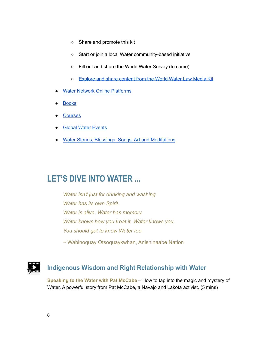- Share and promote this kit
- Start or join a local Water community-based initiative
- Fill out and share the World Water Survey (to come)
- [Explore](#page-27-3) and share content from the World Water Law Media Kit
- **Water Network Online [Platforms](#page-27-4)**
- **[Books](#page-27-5)**
- **[Courses](#page-27-6)**
- **Global Water [Events](#page-28-0)**
- Water Stories, Blessings, Songs, Art and Meditations

## **LET'S DIVE INTO WATER ...**

*Water isn't just for drinking and washing. Water has its own Spirit. Water is alive. Water has memory. Water knows how you treat it. Water knows you. You should get to know Water too.*

~ Wabinoquay Otsoquaykwhan, Anishinaabe Nation

#### <span id="page-5-0"></span>**Indigenous Wisdom and Right Relationship with Water**

**[Speaking](https://youtu.be/OeeAMNxuqio) to the Water with Pat McCabe** – How to tap into the magic and mystery of Water. A powerful story from Pat McCabe, a Navajo and Lakota activist. (5 mins)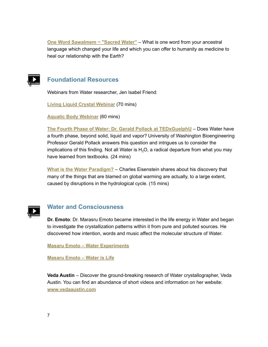**One Word [Sawalmem](https://www.rosaguayaba.earth/oneword) ~ "Sacred Water"** – What is one word from your ancestral language which changed your life and which you can offer to humanity as medicine to heal our relationship with the Earth?



#### <span id="page-6-0"></span>**Foundational Resources**

Webinars from Water researcher, Jen Isabel Friend:

**Living Liquid Crystal [Webinar](https://waterislife.teachable.com/p/living-liquid-crystal-webinar)** (70 mins)

**Aquatic Body [Webinar](https://waterislife.teachable.com/p/aquatic-body-webinar)** (60 mins)

**The Fourth Phase of Water: Dr. Gerald Pollack at [TEDxGuelphU](https://youtu.be/i-T7tCMUDXU)** – Does Water have a fourth phase, beyond solid, liquid and vapor? University of Washington Bioengineering Professor Gerald Pollack answers this question and intrigues us to consider the implications of this finding. Not all Water is  $H<sub>2</sub>O$ , a radical departure from what you may have learned from textbooks. (24 mins)

**What is the Water [Paradigm?](https://youtu.be/L68ZHYzeZoI)** – Charles Eisenstein shares about his discovery that many of the things that are blamed on global warming are actually, to a large extent, caused by disruptions in the hydrological cycle. (15 mins)



#### <span id="page-6-1"></span>**Water and Consciousness**

**Dr. Emoto**: Dr. Marasru Emoto became interested in the life energy in Water and began to investigate the crystallization patterns within it from pure and polluted sources. He discovered how intention, words and music affect the molecular structure of Water.

**Masaru Emoto – Water [Experiments](https://www.youtube.com/watch?v=1qQUFvufXp4)**

**[Masaru](https://youtu.be/33IiYb8htHk) Emoto – Water is Life**

**Veda Austin** – Discover the ground-breaking research of Water crystallographer, Veda Austin. You can find an abundance of short videos and information on her website: **[www.vedaaustin.com](https://www.vedaaustin.com/)**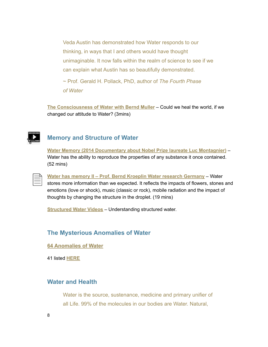Veda Austin has demonstrated how Water responds to our thinking, in ways that I and others would have thought unimaginable. It now falls within the realm of science to see if we can explain what Austin has so beautifully demonstrated.

~ Prof. Gerald H. Pollack, PhD, author of *The Fourth Phase of Water*

**The [Consciousness](https://youtu.be/fl9OAsjzYHQ) of Water with Bernd Muller** – Could we heal the world, if we changed our attitude to Water? (3mins[\)](https://youtu.be/fl9OAsjzYHQ)

#### <span id="page-7-0"></span>**Memory and Structure of Water**

**Water Memory (2014 [Documentary](https://youtu.be/R8VyUsVOic0) about Nobel Prize laureate Luc Montagnier)** – Water has the ability to reproduce the properties of any substance it once contained. (52 mins)

**Water has memory II – Prof. Bernd Kroeplin Water research [Germany](https://youtu.be/i1gNSkMEDTQ)** – Water stores more information than we expected. It reflects the impacts of flowers, stones and emotions (love or shock), music (classic or rock), mobile radiation and the impact of thoughts by changing the structure in the droplet. (19 mins)

**[Structured](https://www.myhealingcocoon.com/water-videos) Water Videos** – Understanding structured water.

#### <span id="page-7-1"></span>**The Mysterious Anomalies of Water**

**[64 Anomalies of Water](https://www.researchgate.net/figure/One-of-the-64-documented-water-anomalies-for-the-other-63-see-eg_fig1_51566270)**

41 listed **[HERE](https://ergodic.ugr.es/termo/lecciones/water2.html)**

#### <span id="page-7-2"></span>**Water and Health**

Water is the source, sustenance, medicine and primary unifier of all Life. 99% of the molecules in our bodies are Water. Natural,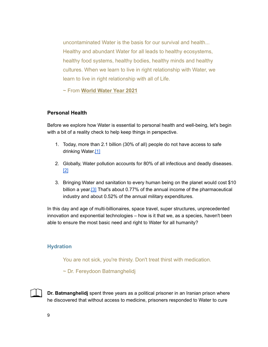uncontaminated Water is the basis for our survival and health... Healthy and abundant Water for all leads to healthy ecosystems, healthy food systems, healthy bodies, healthy minds and healthy cultures. When we learn to live in right relationship with Water, we learn to live in right relationship with all of Life.

~ From **[World Water Year 2021](https://www.worldwatercommunity.com/world-water-year-2021/)**

#### <span id="page-8-0"></span>**Personal Health**

Before we explore how Water is essential to personal health and well-being, let's begin with a bit of a reality check to help keep things in perspective.

- 1. Today, more than 2.1 billion (30% of all) people do not have access to safe drinking Water.<sup>[\[1\]](https://www.waterworld.com/international/potable-water/article/16203160/21-billion-people-lack-access-to-safe-drinking-water)</sup>
- 2. Globally, Water pollution accounts for 80% of all infectious and deadly diseases. [\[2\]](https://www.environmentalpollutioncenters.org/water/diseases/)
- 3. Bringing Water and sanitation to every human being on the planet would cost \$10 billion a year.<sup>[3]</sup> That's about 0.77% of the annual income of the pharmaceutical industry and about 0.52% of the annual military expenditures.

In this day and age of multi-billionaires, space travel, super structures, unprecedented innovation and exponential technologies – how is it that we, as a species, haven't been able to ensure the most basic need and right to Water for all humanity?

#### **Hydration**

You are not sick, you're thirsty. Don't treat thirst with medication.

~ Dr. Fereydoon Batmanghelidj

**Dr. Batmanghelidj** spent three years as a political prisoner in an Iranian prison where he discovered that without access to medicine, prisoners responded to Water to cure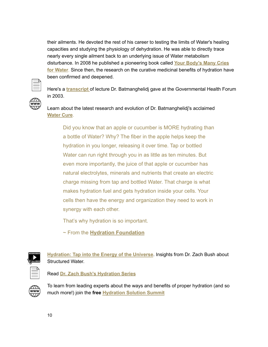their ailments. He devoted the rest of his career to testing the limits of Water's healing capacities and studying the physiology of dehydration. He was able to directly trace nearly every single ailment back to an underlying issue of Water metabolism disturbance. In 2008 he published a pioneering book called **Your [Body's](https://www.goodreads.com/book/show/252871.Your_Body_s_Many_Cries_for_Water) Many Cries for [Water](https://www.goodreads.com/book/show/252871.Your_Body_s_Many_Cries_for_Water)**. Since then, the research on the curative medicinal benefits of hydration have been confirmed and deepened.



Here's a **[transcript](https://www.naturalscience.org/wp-content/uploads/2015/01/wfns_special-report_water_03-03_english.pdf)** of lecture Dr. Batmanghelidj gave at the Governmental Health Forum in 2003.

Learn about the latest research and evolution of Dr. Batmanghelidj's acclaimed **[Water](https://www.watercures.org/) Cure**.

Did you know that an apple or cucumber is MORE hydrating than a bottle of Water? Why? The fiber in the apple helps keep the hydration in you longer, releasing it over time. Tap or bottled Water can run right through you in as little as ten minutes. But even more importantly, the juice of that apple or cucumber has natural electrolytes, minerals and nutrients that create an electric charge missing from tap and bottled Water. That charge is what makes hydration fuel and gets hydration inside your cells. Your cells then have the energy and organization they need to work in synergy with each other.

That's why hydration is so important.

~ From the **[Hydration Foundation](https://hydrationfoundation.org/)**



**[Hydration:](https://youtu.be/G16VwycJSq0?list=PLD9HcXYMfIhnGM5OLXZWFuLcQ15R70RrC) Tap into the Energy of the Universe**. Insights from Dr. Zach Bush about Structured Water.

Read **Dr. Zach Bush's [Hydration](https://zachbushmd.com/wp-content/hydrate/ZBMD-HydrationSeries.pdf) Series**



To learn from leading experts about the ways and benefits of proper hydration (and so much more!) join the **free [Hydration](https://hydrationfoundation.org/hydration-solution-summit-2/) Solution Summit**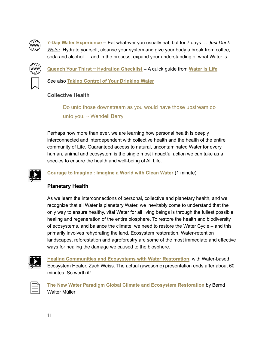

**7-Day Water [Experience](https://waterislove.com/)** – Eat whatever you usually eat, but for 7 days … *Just Drink Water*. Hydrate yourself, cleanse your system and give your body a break from coffee, soda and alcohol … and in the process, expand your understanding of what Water is.



**Quench Your Thirst ~ [Hydration](https://www.waterislife.love/free-hydration-checklist) Checklist –** A quick guide from **[Water](https://www.waterislife.love/) is Life**

See also **Taking Control of Your [Drinking](#page-20-0) Water**

#### <span id="page-10-0"></span>**Collective Health**

Do unto those downstream as you would have those upstream do unto you.  $\sim$  Wendell Berry

Perhaps now more than ever, we are learning how personal health is deeply interconnected and interdependent with collective health and the health of the entire community of Life. Guaranteed access to natural, uncontaminated Water for every human, animal and ecosystem is the single most impactful action we can take as a species to ensure the health and well-being of All Life.

**[Courage](https://youtu.be/NLYTBQ_Z5Ao) to Imagine : Imagine a World with Clean Water** (1 minute)

#### <span id="page-10-1"></span>**Planetary Health**

As we learn the interconnections of personal, collective and planetary health, and we recognize that all Water is planetary Water, we inevitably come to understand that the only way to ensure healthy, vital Water for all living beings is through the fullest possible healing and regeneration of the entire biosphere. To restore the health and biodiversity of ecosystems, and balance the climate, we need to restore the Water Cycle **–** and this primarily involves rehydrating the land. Ecosystem restoration, Water-retention landscapes, reforestation and agroforestry are some of the most immediate and effective ways for healing the damage we caused to the biosphere.



**Healing [Communities](https://vimeo.com/529059672) and Ecosystems with Water Restoration**: with Water-based Ecosystem Healer, Zach Weiss. The actual (awesome) presentation ends after about 60 minutes. So worth it!



**The New Water Paradigm Global Climate and Ecosystem [Restoration](https://www.tamera.org/wp-content/uploads/waterParadigm_a4print_v1.2.pdf)** by Bernd Walter Müller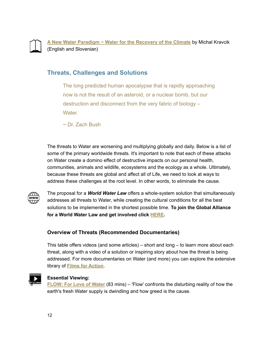

**A New Water [Paradigm](http://www.waterparadigm.org/download/Water_for_the_Recovery_of_the_Climate_A_New_Water_Paradigm.pdf) ~ Water for the Recovery of the Climate** by Michal Kravcik (English and Slovenian)

#### <span id="page-11-0"></span>**Threats, Challenges and Solutions**

The long predicted human apocalypse that is rapidly approaching now is not the result of an asteroid, or a nuclear bomb, but our destruction and disconnect from the very fabric of biology – Water.

~ Dr. Zach Bush

The threats to Water are worsening and multiplying globally and daily. Below is a list of some of the primary worldwide threats. It's important to note that each of these attacks on Water create a domino effect of destructive impacts on our personal health, communities, animals and wildlife, ecosystems and the ecology as a whole. Ultimately, because these threats are global and affect all of Life, we need to look at ways to address these challenges at the root level. In other words, to eliminate the cause.



The proposal for a *World Water Law* offers a whole-system solution that simultaneously addresses all threats to Water, while creating the cultural conditions for all the best solutions to be implemented in the shortest possible time. **To join the Global Alliance for a World Water Law and get involved click [HERE](https://www.worldwatercommunity.com/global-alliance/).**

#### <span id="page-11-1"></span>**Overview of Threats (Recommended Documentaries)**

This table offers videos (and some articles) – short and long – to learn more about each threat, along with a video of a solution or inspiring story about how the threat is being addressed. For more documentaries on Water (and more) you can explore the extensive library of **Films for [Action](https://www.filmsforaction.org/library/?sort=relevance&search=water&quality=all&type=all)**.



#### **Essential Viewing:**

**[FLOW:](https://www.filmsforaction.org/watch/flow-for-love-of-water/) For Love of Water** (83 mins) – 'Flow' confronts the disturbing reality of how the earth's fresh Water supply is dwindling and how greed is the cause[.](https://youtu.be/RkdIIfArWqo)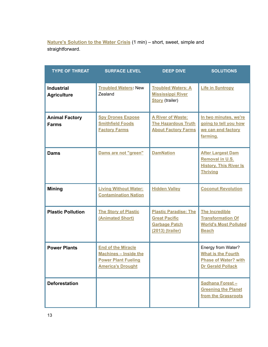**Nature's [Solution](https://youtu.be/p0Fp2-Av2fY) to the Water Crisis** (1 min) – short, sweet, simple and straightforward.

| <b>TYPE OF THREAT</b>                   | <b>SURFACE LEVEL</b>                                                                                                | <b>DEEP DIVE</b>                                                                                 | <b>SOLUTIONS</b>                                                                                           |
|-----------------------------------------|---------------------------------------------------------------------------------------------------------------------|--------------------------------------------------------------------------------------------------|------------------------------------------------------------------------------------------------------------|
| <b>Industrial</b><br><b>Agriculture</b> | <b>Troubled Waters: New</b><br>Zealand                                                                              | <b>Troubled Waters: A</b><br><b>Mississippi River</b><br><b>Story</b> (trailer)                  | <b>Life in Syntropy</b>                                                                                    |
| <b>Animal Factory</b><br><b>Farms</b>   | <b>Spy Drones Expose</b><br><b>Smithfield Foods</b><br><b>Factory Farms</b>                                         | <b>A River of Waste:</b><br><b>The Hazardous Truth</b><br><b>About Factory Farms</b>             | In two minutes, we're<br>going to tell you how<br>we can end factory<br>farming.                           |
| <b>Dams</b>                             | Dams are not "green"                                                                                                | <b>DamNation</b>                                                                                 | <b>After Largest Dam</b><br>Removal in U.S.<br><b>History, This River Is</b><br><b>Thriving</b>            |
| <b>Mining</b>                           | <b>Living Without Water:</b><br><b>Contamination Nation</b>                                                         | <b>Hidden Valley</b>                                                                             | <b>Coconut Revolution</b>                                                                                  |
| <b>Plastic Pollution</b>                | <b>The Story of Plastic</b><br>(Animated Short)                                                                     | <b>Plastic Paradise: The</b><br><b>Great Pacific</b><br><b>Garbage Patch</b><br>(2013) (trailer) | <b>The Incredible</b><br><b>Transformation Of</b><br><b>World's Most Polluted</b><br><b>Beach</b>          |
| <b>Power Plants</b>                     | <b>End of the Miracle</b><br><b>Machines - Inside the</b><br><b>Power Plant Fueling</b><br><b>America's Drought</b> |                                                                                                  | Energy from Water?<br><b>What is the Fourth</b><br><b>Phase of Water? with</b><br><b>Dr Gerald Pollack</b> |
| <b>Deforestation</b>                    |                                                                                                                     |                                                                                                  | Sadhana Forest-<br><b>Greening the Planet</b><br>from the Grassroots                                       |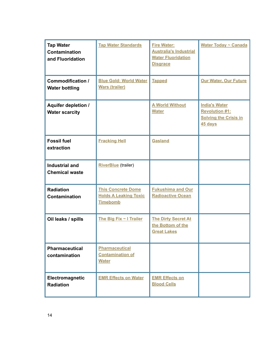| <b>Tap Water</b><br><b>Contamination</b><br>and Fluoridation | <b>Tap Water Standards</b>                                                   | <b>Fire Water:</b><br><b>Australia's Industrial</b><br><b>Water Fluoridation</b><br><b>Disgrace</b> | Water Today ~ Canada                                                                     |
|--------------------------------------------------------------|------------------------------------------------------------------------------|-----------------------------------------------------------------------------------------------------|------------------------------------------------------------------------------------------|
| Commodification /<br><b>Water bottling</b>                   | <b>Blue Gold: World Water</b><br><b>Wars (trailer)</b>                       | <b>Tapped</b>                                                                                       | <b>Our Water, Our Future</b>                                                             |
| <b>Aquifer depletion /</b><br><b>Water scarcity</b>          |                                                                              | <b>A World Without</b><br><b>Water</b>                                                              | <b>India's Water</b><br><b>Revolution #1:</b><br><b>Solving the Crisis in</b><br>45 days |
| <b>Fossil fuel</b><br>extraction                             | <b>Fracking Hell</b>                                                         | <b>Gasland</b>                                                                                      |                                                                                          |
| <b>Industrial and</b><br><b>Chemical waste</b>               | <b>RiverBlue</b> (trailer)                                                   |                                                                                                     |                                                                                          |
| <b>Radiation</b><br><b>Contamination</b>                     | <b>This Concrete Dome</b><br><b>Holds A Leaking Toxic</b><br><b>Timebomb</b> | <b>Fukushima and Our</b><br><b>Radioactive Ocean</b>                                                |                                                                                          |
| Oil leaks / spills                                           | The Big Fix ~ I Trailer                                                      | <b>The Dirty Secret At</b><br>the Bottom of the<br><b>Great Lakes</b>                               |                                                                                          |
| <b>Pharmaceutical</b><br>contamination                       | <b>Pharmaceutical</b><br><b>Contamination of</b><br><b>Water</b>             |                                                                                                     |                                                                                          |
| Electromagnetic<br><b>Radiation</b>                          | <b>EMR Effects on Water</b>                                                  | <b>EMR Effects on</b><br><b>Blood Cells</b>                                                         |                                                                                          |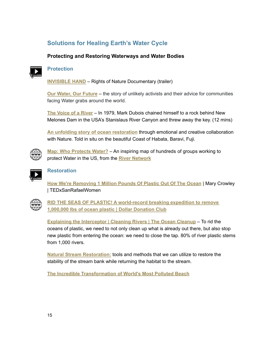### <span id="page-14-0"></span>**Solutions for Healing Earth's Water Cycle**

#### <span id="page-14-1"></span>**Protecting and Restoring Waterways and Water Bodies**



#### **Protection**

**[INVISIBLE](https://youtu.be/zzDFF0y-O9w) HAND** – Rights of Nature Documentary (trailer)

**Our Water, Our [Future](https://youtu.be/udyx9u5LJeo)** – the story of unlikely activists and their advice for communities facing Water grabs around the world.

**The [Voice](https://youtu.be/OQkEC08nTI8) of a River** – In 1979, Mark Dubois chained himself to a rock behind New Melones Dam in the USA's Stanislaus River Canyon and threw away the key. (12 mins)

**An unfolding story of ocean [restoration](https://youtu.be/jy8voUthdxg)** through emotional and creative collaboration with Nature. Told in situ on the beautiful Coast of Habata, Baravi, Fuji.



**Map: Who [Protects](https://www.rivernetwork.org/membership/map-who-is-protecting-your-water/) Water?** – An inspiring map of hundreds of groups working to protect Water in the US, from the **River [Network](https://www.rivernetwork.org/)**



#### **Restoration**

**How We're [Removing](https://youtu.be/PthVLYkBBXc) 1 Million Pounds Of Plastic Out Of The Ocean** | Mary Crowley | TEDxSanRafaelWomen



**RID THE SEAS OF PLASTIC! A [world-record](https://dollardonationclub.com/ocean) breaking expedition to remove [1,000,000](https://dollardonationclub.com/ocean) lbs of ocean plastic | Dollar [Donation](https://dollardonationclub.com/) Club**

**Explaining the [Interceptor](https://www.youtube.com/watch?v=bm1rH70wfJo) | Cleaning Rivers | The Ocean Cleanup** – To rid the oceans of plastic, we need to not only clean up what is already out there, but also stop new plastic from entering the ocean: we need to close the tap. 80% of river plastic stems from 1,000 rivers.

**Natural Stream [Restoration](https://youtu.be/h-0NIG508FA):** tools and methods that we can utilize to restore the stability of the stream bank while returning the habitat to the stream.

**The Incredible [Transformation](https://www.youtube.com/watch?v=jXcoPO76UyA) of World's Most Polluted Beach**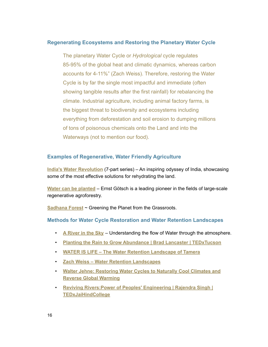#### **Regenerating Ecosystems and Restoring the Planetary Water Cycle**

The planetary Water Cycle or *Hydrological* cycle regulates 85-95% of the global heat and climatic dynamics, whereas carbon accounts for 4-11%" (Zach Weiss). Therefore, restoring the Water Cycle is by far the single most impactful and immediate (often showing tangible results after the first rainfall) for rebalancing the climate. Industrial agriculture, including animal factory farms, is the biggest threat to biodiversity and ecosystems including everything from deforestation and soil erosion to dumping millions of tons of poisonous chemicals onto the Land and into the Waterways (not to mention our food).

#### **Examples of Regenerative, Water Friendly Agriculture**

**India's Water [Revolution](https://www.youtube.com/playlist?list=PLNdMkGYdEqOCgePyiAyBT0sh7zlr7xhz3)** (7-part series) – An inspiring odyssey of India, showcasing some of the most effective solutions for rehydrating the land.

**Water can be [planted](https://vimeo.com/287503052)** – Ernst Götsch is a leading pioneer in the fields of large-scale regenerative agroforestry.

**[Sadhana](https://vimeo.com/31888262) Forest** ~ Greening the Planet from the Grassroots.

#### **Methods for Water Cycle Restoration and Water Retention Landscapes**

- **A [River](https://www.youtube.com/watch?v=VGurBZ0b6nI) in the Sky** Understanding the flow of Water through the atmosphere.
- **Planting the Rain to Grow Abundance | Brad Lancaster | [TEDxTucson](https://youtu.be/I2xDZlpInik)**
- **WATER IS LIFE – The Water Retention [Landscape](https://youtu.be/4hF2QL0D5ww) of Tamera**
- **Zach Weiss – Water Retention [Landscapes](https://youtu.be/eHo7InquUDA)**
- **Walter Jehne: [Restoring](https://youtu.be/K4ygsdHJjdI) Water Cycles to Naturally Cool Climates and Reverse Global [Warming](https://youtu.be/K4ygsdHJjdI)**
- **Reviving [Rivers:Power](https://www.youtube.com/watch?v=uHNXV6c4r94) of Peoples' Engineering | Rajendra Singh | [TEDxJaiHindCollege](https://www.youtube.com/watch?v=uHNXV6c4r94)**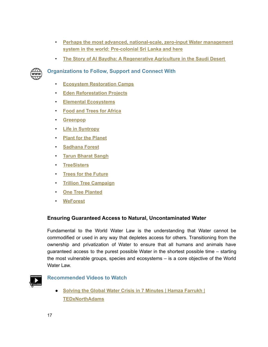- **Perhaps the most advanced, [national-scale,](https://youtu.be/bmfBAvSKB_8) zero-input Water management system in the world: [Pre-colonial](https://youtu.be/bmfBAvSKB_8) Sri Lanka and [here](https://www.youtube.com/watch?v=DapXzbHLykQ)**
- **The Story of Al Baydha: A [Regenerative](https://www.youtube.com/watch?v=T39QHprz-x8) Agriculture in the Saudi Desert**



#### **Organizations to Follow, Support and Connect With**

- **Ecosystem [Restoration](https://www.ecosystemrestorationcamps.org/) Camps**
- **Eden [Reforestation](https://edenprojects.org/) Projects**
- **Elemental [Ecosystems](https://www.elementalecosystems.com/)**
- **Food and Trees for [Africa](https://trees.org.za/)**
- **[Greenpop](https://greenpop.org/)**
- **Life in [Syntropy](https://lifeinsyntropy.org/)**
- **Plant for the [Planet](https://www.plant-for-the-planet.org/)**
- **[Sadhana](https://sadhanaforest.org/) Forest**
- **Tarun [Bharat](https://tarunbharatsangh.in/) Sangh**
- **[TreeSisters](https://treesisters.org/)**
- **Trees for the [Future](https://trees.org/)**
- **Trillion Tree [Campaign](https://trilliontreecampaign.org/)**
- **One Tree [Planted](https://onetreeplanted.org/)**
- **[WeForest](https://weforest.org/)**

#### <span id="page-16-0"></span>**Ensuring Guaranteed Access to Natural, Uncontaminated Water**

Fundamental to the World Water Law is the understanding that Water cannot be commodified or used in any way that depletes access for others. Transitioning from the ownership and privatization of Water to ensure that all humans and animals have guaranteed access to the purest possible Water in the shortest possible time – starting the most vulnerable groups, species and ecosystems – is a core objective of the World Water Law.



#### **Recommended Videos to Watch**

**● Solving the Global Water Crisis in 7 [Minutes](https://youtu.be/MnTgx11eQ74) | Hamza Farrukh | [TEDxNorthAdams](https://youtu.be/MnTgx11eQ74)**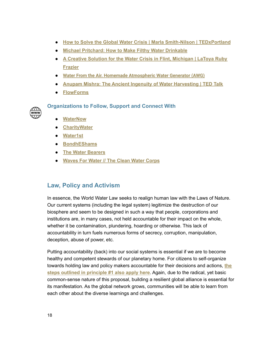- **● How to Solve the Global Water Crisis | Marla Smith-Nilson | [TEDxPortland](https://youtu.be/DgGlVqZkB8A)**
- **● Michael [Pritchard:](https://youtu.be/rXepkIWPhFQ) How to Make Filthy Water Drinkable**
- **● A Creative Solution for the Water Crisis in Flint, [Michigan](https://youtu.be/Cvl2tHwuvzk) | LaToya Ruby [Frazier](https://youtu.be/Cvl2tHwuvzk)**
- **● [Water From the Air. Homemade Atmospheric Water Generator \(AWG\)](https://www.youtube.com/watch?v=94SbtFgUv34)**
- **● Anupam Mishra: The Ancient Ingenuity of Water [Harvesting](https://www.ted.com/talks/anupam_mishra_the_ancient_ingenuity_of_water_harvesting) | TED Talk**
- **● [FlowForms](https://youtu.be/x-j793m9Fc8)**

**Organizations to Follow, Support and Connect With**

**● [WaterNow](https://waternow.us/)**

www

- **● [CharityWater](https://www.charitywater.org/)**
- **● [Water1st](https://water1st.org/)**
- **● [BondhEShams](https://www.bondheshams.org/)**
- **● The Water [Bearers](https://thewaterbearers.org/)**
- **● [Waves](https://youtu.be/Bdo7Wm1_GOA) For Water // The Clean Water Corps**

#### <span id="page-17-0"></span>**Law, Policy and Activism**

In essence, the World Water Law seeks to realign human law with the Laws of Nature. Our current systems (including the legal system) legitimize the destruction of our biosphere and seem to be designed in such a way that people, corporations and institutions are, in many cases, not held accountable for their impact on the whole, whether it be contamination, plundering, hoarding or otherwise. This lack of accountability in turn fuels numerous forms of secrecy, corruption, manipulation, deception, abuse of power, etc.

Putting accountability (back) into our social systems is essential if we are to become healthy and competent stewards of our planetary home. For citizens to self-organize towards holding law and policy makers accountable for their decisions and actions, **the steps outlined in principle #1 also apply here**. Again, due to the radical, yet basic common-sense nature of this proposal, building a resilient global alliance is essential for its manifestation. As the global network grows, communities will be able to learn from each other about the diverse learnings and challenges.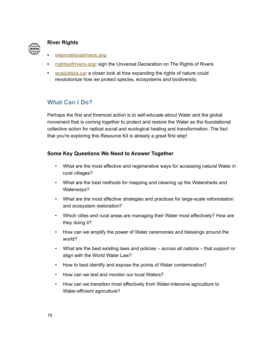

#### <span id="page-18-0"></span>**River Rights**

- **• [internationalrivers.org](https://www.internationalrivers.org/)**
- **• [rightsofrivers.org:](https://www.rightsofrivers.org/)** sign the Universal Declaration on The Rights of Rivers
- **• [ecojustice.ca](https://ecojustice.ca/quebec-river-legal-personhood-rights-of-nature/):** a closer look at how expanding the rights of nature could revolutionize how we protect species, ecosystems and biodiversity.

#### <span id="page-18-1"></span>**What Can I Do?**

Perhaps the first and foremost action is to self-educate about Water and the global movement that is coming together to protect and restore the Water as the foundational collective action for radical social and ecological healing and transformation. The fact that you're exploring this Resource Kit is already a great first step!

#### <span id="page-18-2"></span>**Some Key Questions We Need to Answer Together**

- What are the most effective and regenerative ways for accessing natural Water in rural villages?
- What are the best methods for mapping and cleaning up the Watersheds and Waterways?
- What are the most effective strategies and practices for large-scale reforestation and ecosystem restoration?
- Which cities and rural areas are managing their Water most effectively? How are they doing it?
- How can we amplify the power of Water ceremonies and blessings around the world?
- What are the best existing laws and policies across all nations that support or align with the World Water Law?
- How to best identify and expose the points of Water contamination?
- How can we test and monitor our local Waters?
- How can we transition most effectively from Water-intensive agriculture to Water-efficient agriculture?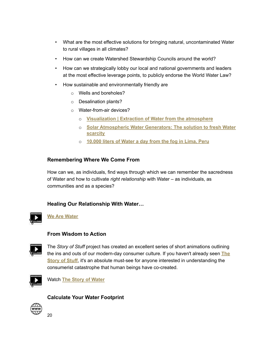- What are the most effective solutions for bringing natural, uncontaminated Water to rural villages in all climates?
- How can we create Watershed Stewardship Councils around the world?
- How can we strategically lobby our local and national governments and leaders at the most effective leverage points, to publicly endorse the World Water Law?
- How sustainable and environmentally friendly are
	- o Wells and boreholes?
	- o Desalination plants?
	- o Water-from-air devices?
		- o **[Visualization](https://youtu.be/db9dVFdBGtw) | Extraction of Water from the atmosphere**
		- o **Solar [Atmospheric](https://www.youtube.com/watch?v=C1G2oC2cuTw) Water Generators: The solution to fresh Water [scarcity](https://www.youtube.com/watch?v=C1G2oC2cuTw)**
		- o **[10.000](https://youtu.be/h8rQ5aHAnuE) liters of Water a day from the fog in Lima, Peru**

#### <span id="page-19-0"></span>**Remembering Where We Come From**

How can we, as individuals, find ways through which we can remember the sacredness of Water and how to cultivate *right relationship* with Water – as individuals, as communities and as a species?

#### <span id="page-19-1"></span>**Healing Our Relationship With Water…**



**We Are [Water](https://www.youtube.com/watch?v=W740g2Shb7s&t=63s)**

#### <span id="page-19-2"></span>**From Wisdom to Action**



The *Story of Stuff* project has created an excellent series of short animations outlining the ins and outs of our modern-day consumer culture. If you haven't already seen **[The](https://youtu.be/9GorqroigqM) [Story](https://youtu.be/9GorqroigqM) of Stuff**, it's an absolute must-see for anyone interested in understanding the consumerist catastrophe that human beings have co-created.



Watch **The Story of [Water](https://youtu.be/04jTleV0gK0)**

#### <span id="page-19-3"></span>**Calculate Your Water Footprint**

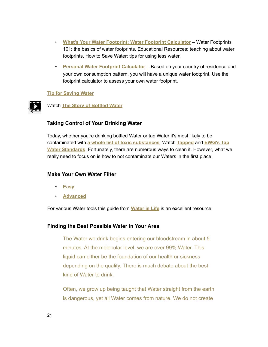- **What's Your Water Footprint: Water Footprint [Calculator](https://www.watercalculator.org/)** Water Footprints 101: the basics of water footprints, Educational Resources: teaching about water footprints, How to Save Water: tips for using less water.
- **Personal Water Footprint [Calculator](https://waterfootprint.org/en/resources/interactive-tools/personal-water-footprint-calculator/)** Based on your country of residence and your own consumption pattern, you will have a unique water footprint. Use the footprint calculator to assess your own water footprint.

#### **Tip for [Saving](https://www.flow.org.za/enable/water-saving-tips/) Water**



#### <span id="page-20-0"></span>**Taking Control of Your Drinking Water**

Today, whether you're drinking bottled Water or tap Water it's most likely to be contaminated with **a whole list of toxic [substances](https://www.healthandenvironment.org/environmental-health/environmental-risks/global-environment/water-quality)**. Watch **[Tapped](https://vimeo.com/208686476)** and **[EWG's](https://youtu.be/LYQLcTmJUNE) Tap Water [Standards](https://youtu.be/LYQLcTmJUNE)**. Fortunately, there are numerous ways to clean it. However, what we really need to focus on is how to not contaminate our Waters in the first place!

#### <span id="page-20-1"></span>**Make Your Own Water Filter**

- **[Easy](https://youtu.be/G6AwCiQ68KI)**
- **[Advanced](https://youtu.be/kazEAzGWuIc)**

For various Water tools this guide from **[Water](https://www.waterislife.love/resource-guide) is Life** is an excellent resource.

#### <span id="page-20-2"></span>**Finding the Best Possible Water in Your Area**

The Water we drink begins entering our bloodstream in about 5 minutes. At the molecular level, we are over 99% Water. This liquid can either be the foundation of our health or sickness depending on the quality. There is much debate about the best kind of Water to drink.

Often, we grow up being taught that Water straight from the earth is dangerous, yet all Water comes from nature. We do not create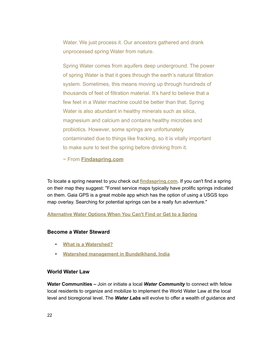Water. We just process it. Our ancestors gathered and drank unprocessed spring Water from nature.

Spring Water comes from aquifers deep underground. The power of spring Water is that it goes through the earth's natural filtration system. Sometimes, this means moving up through hundreds of thousands of feet of filtration material. It's hard to believe that a few feet in a Water machine could be better than that. Spring Water is also abundant in healthy minerals such as silica, magnesium and calcium and contains healthy microbes and probiotics. However, some springs are unfortunately contaminated due to things like fracking, so it is vitally important to make sure to test the spring before drinking from it.

~ From **[Findaspring.com](https://findaspring.com/why-spring-water/)**

To locate a spring nearest to you check out **[findaspring.com](http://www.findaspring.com)**. If you can't find a spring on their map they suggest: "Forest service maps typically have prolific springs indicated on them. Gaia GPS is a great mobile app which has the option of using a USGS topo map overlay. Searching for potential springs can be a really fun adventure."

**[Alternative](https://youtu.be/fXCcW8N9UT8) Water Options When You Can't Find or Get to a Spring**

#### <span id="page-21-0"></span>**Become a Water Steward**

- **What is a [Watershed?](https://youtu.be/5JKNznYHXso)**
- **Watershed management in [Bundelkhand,](https://youtu.be/EJE-Y_K_j9E) India**

#### <span id="page-21-1"></span>**World Water Law**

**Water Communities –** Join or initiate a local *Water Community* to connect with fellow local residents to organize and mobilize to implement the World Water Law at the local level and bioregional level. The *Water Labs* will evolve to offer a wealth of guidance and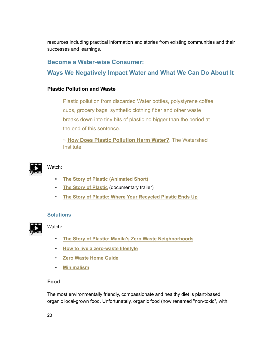resources including practical information and stories from existing communities and their successes and learnings.

#### <span id="page-22-0"></span>**Become a Water-wise Consumer:**

**Ways We Negatively Impact Water and What We Can Do About It**

#### <span id="page-22-1"></span>**Plastic Pollution and Waste**

Plastic pollution from discarded Water bottles, polystyrene coffee cups, grocery bags, synthetic clothing fiber and other waste breaks down into tiny bits of plastic no bigger than the period at the end of this sentence.

~ **[How Does Plastic Pollution Harm Water?](https://thewatershed.org/how-does-plastic-pollution-harm-water/)**, The Watershed **Institute** 



#### Watch:

- **• The Story of Plastic [\(Animated](https://youtu.be/iO3SA4YyEYU) Short)**
- **The Story of [Plastic](https://youtu.be/37PDwW0c1so)** (documentary trailer)
- **The Story of Plastic: Where Your [Recycled](https://youtu.be/urFZ5o0az_4) Plastic Ends Up**

#### **Solutions**



#### Watch**:**

- **The Story of Plastic: Manila's Zero Waste [Neighborhoods](https://youtu.be/N6rFLNvMqns)**
- **How to live a [zero-waste](https://www.goingzerowaste.com/blog/the-ultimate-step-by-step-guide-to-going-zero-waste) lifestyle**
- **Zero [Waste](https://www.zerowaste.com/zero-waste-home-guide/) Home Guide**
- **[Minimalism](https://www.becomingminimalist.com/minimalism-benefits/)**

#### <span id="page-22-2"></span>**Food**

The most environmentally friendly, compassionate and healthy diet is plant-based, organic local-grown food. Unfortunately, organic food (now renamed "non-toxic", with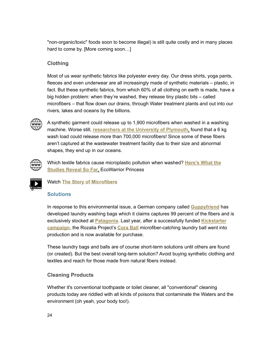"non-organic/toxic" foods soon to become illegal) is still quite costly and in many places hard to come by. [More coming soon…]

#### <span id="page-23-0"></span>**Clothing**

Most of us wear synthetic fabrics like polyester every day. Our dress shirts, yoga pants, fleeces and even underwear are all increasingly made of synthetic materials – plastic, in fact. But these synthetic fabrics, from which 60% of all clothing on earth is made, have a big hidden problem: when they're washed, they release tiny plastic bits – called microfibers – that flow down our drains, through Water treatment plants and out into our rivers, lakes and oceans by the billions.



A synthetic garment could release up to 1,900 microfibers when washed in a washing machine. Worse still, **[researchers](https://www.plymouth.ac.uk/news/pr-opinion/plastic-pollution-and-the-planet) at the University of Plymouth**, found that a 6 kg wash load could release more than 700,000 microfibers! Since some of these fibers aren't captured at the wastewater treatment facility due to their size and abnormal shapes, they end up in our oceans.



Which textile fabrics cause microplastic pollution when washed? **[Here's](https://ecowarriorprincess.net/2018/05/textile-fibres-cause-microfibre-pollution-washed-studies-reveal/) What the [Studies](https://ecowarriorprincess.net/2018/05/textile-fibres-cause-microfibre-pollution-washed-studies-reveal/) Reveal So Far**, EcoWarrior Princess



Watch **The Story of [Microfibers](https://www.youtube.com/watch?v=BqkekY5t7KY)**

#### **Solutions**

In response to this environmental issue, a German company called **[Guppyfriend](https://t.cfjump.com/9557/t/41684?Url=https%3a%2f%2fwww.floraandfauna.com.au%2fguppyfriend-washing-bag)** has developed laundry washing bags which it claims captures 99 percent of the fibers and is exclusively stocked at **[Patagonia](http://www.patagonia.com/product/guppyfriend-washing-bag/O2191.html)**. Last year, after a successfully funded **[Kickstarter](https://www.kickstarter.com/projects/879498424/cora-ball-microfiber-catching-laundry-ball) [campaign](https://www.kickstarter.com/projects/879498424/cora-ball-microfiber-catching-laundry-ball)**, the Rozalia Project's **[Cora](https://www.floraandfauna.com.au/cora-laundry-ball-yellow-1-ball) Ball** microfiber-catching laundry ball went into production and is now available for purchase.

These laundry bags and balls are of course short-term solutions until others are found (or created). But the best overall long-term solution? Avoid buying synthetic clothing and textiles and reach for those made from natural fibers instead.

#### <span id="page-23-1"></span>**Cleaning Products**

Whether it's conventional toothpaste or toilet cleaner, all "conventional" cleaning products today are riddled with all kinds of poisons that contaminate the Waters and the environment (oh yeah, your body too!).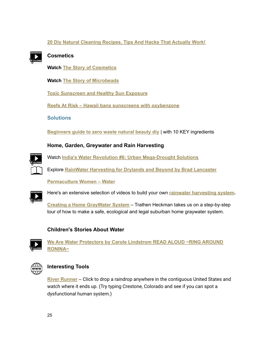#### **20 Diy Natural [Cleaning](https://youtu.be/7PJfpprBJy0) Recipes, Tips And Hacks That Actually Work!**



#### <span id="page-24-0"></span>**Cosmetics**

**Watch The Story of [Cosmetics](https://www.youtube.com/watch?v=pfq000AF1i8)**

**Watch The Story of [Microbeads](https://youtu.be/uAiIGd_JqZc)**

**Toxic [Sunscreen](https://youtu.be/wzJnM2xu-B8) and Healthy Sun Exposure**

**Reefs At Risk – Hawaii bans sunscreens with [oxybenzone](https://www.youtube.com/watch?v=aGP9loQ0dqs)**

**Solutions**

**[Beginners](https://youtu.be/B0otvi4FD-g) guide to zero waste natural beauty diy** | with 10 KEY ingredients

#### <span id="page-24-1"></span>**Home, Garden, Greywater and Rain Harvesting**



Watch **India's Water Revolution #6: Urban [Mega-Drought](https://youtu.be/AvV-L8MdhO4?list=PL9L_PmhqnHH5K3pR5STzR_F1LYDo_XJ77) Solutions**

Explore **RainWater [Harvesting](https://www.harvestingrainwater.com/) for Drylands and Beyond by Brad Lancaster**

**[Permaculture](https://list.permaculturewomen.com/water) Women – Water**



Here's an extensive selection of videos to build your own **rainwater [harvesting](https://www.youtube.com/results?search_query=water+harvesting+system+for+home) system.**

**Creating a Home [GrayWater](https://youtu.be/PBMpaWq4EKE) System** – Trathen Heckman takes us on a step-by-step tour of how to make a safe, ecological and legal suburban home graywater system.

#### <span id="page-24-2"></span>**Children's Stories About Water**



**We Are Water [Protectors](https://youtu.be/jqWTouyaQ-8) by Carole Lindstrom READ ALOUD ~RING AROUND [RONINA~](https://youtu.be/jqWTouyaQ-8)**



#### <span id="page-24-3"></span>**Interesting Tools**

**River [Runner](https://river-runner.samlearner.com/)** – Click to drop a raindrop anywhere in the contiguous United States and watch where it ends up. (Try typing Crestone, Colorado and see if you can spot a dysfunctional human system.)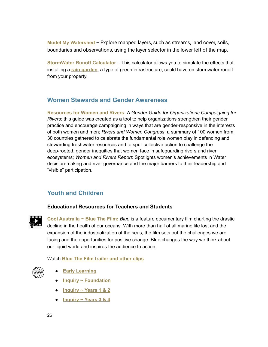**Model My [Watershed](https://modelmywatershed.org/)** – Explore mapped layers, such as streams, land cover, soils, boundaries and observations, using the layer selector in the lower left of the map.

**[StormWater](https://www.esf.edu/ere/endreny/GICalculator/RunoffHome.html) Runoff Calculator –** This calculator allows you to simulate the effects that installing a **rain [garden](https://www.esf.edu/ere/endreny/GICalculator/RainGardenIntro.html)**, a type of green infrastructure, could have on stormwater runoff from your property.

#### <span id="page-25-0"></span>**Women Stewards and Gender Awareness**

**[Resources](https://www.womenandrivers.com/resources) for Women and Rivers**: *A Gender Guide for Organizations Campaigning for Rivers*: this guide was created as a tool to help organizations strengthen their gender practice and encourage campaigning in ways that are gender-responsive in the interests of both women and men; *Rivers and Women Congress*: a summary of 100 women from 30 countries gathered to celebrate the fundamental role women play in defending and stewarding freshwater resources and to spur collective action to challenge the deep-rooted, gender inequities that women face in safeguarding rivers and river ecosystems; *Women and Rivers Report*: Spotlights women's achievements in Water decision-making and river governance and the major barriers to their leadership and "visible" participation.

#### <span id="page-25-1"></span>**Youth and Children**

#### <span id="page-25-2"></span>**Educational Resources for Teachers and Students**



**Cool [Australia](https://www.coolaustralia.org/) ~ [Blue](https://bluethefilm.org/) The Film:** *Blue* is a feature documentary film charting the drastic decline in the health of our oceans. With more than half of all marine life lost and the expansion of the industrialization of the seas, the film sets out the challenges we are facing and the opportunities for positive change. Blue changes the way we think about our liquid world and inspires the audience to action.

Watch **Blue The Film [trailer](https://vimeo.com/217951375) and other clips**



- **Early [Learning](https://www.coolaustralia.org/unit/blue-film-early-learning/)**
- **Inquiry ~ [Foundation](https://www.coolaustralia.org/unit/blue-film-inquiry-foundation/)**
- **[Inquiry](https://www.coolaustralia.org/unit/blue-film-inquiry-foundation/) ~ [Years](https://www.coolaustralia.org/unit/blue-film-inquiry-years-1-2/) 1 & 2**
- **[Inquiry](https://www.coolaustralia.org/unit/blue-film-inquiry-foundation/) ~ [Years](https://www.coolaustralia.org/unit/blue-film-inquiry-years-3-4/) 3 & 4**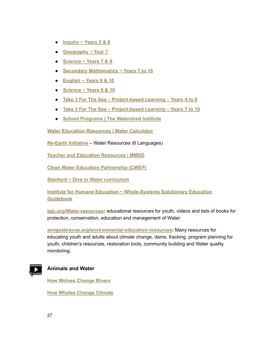- **[Inquiry](https://www.coolaustralia.org/unit/blue-film-inquiry-foundation/) ~ [Years](https://www.coolaustralia.org/unit/blue-film-inquiry-years-5-6/) 5 & 6**
- **[Geography](https://www.coolaustralia.org/unit/blue-film-geography-year-7/) ~ Year 7**
- **[Science](https://www.coolaustralia.org/unit/blue-film-english-years-7-8/) ~ Years 7 & 8**
- **Secondary [Mathematics](https://www.coolaustralia.org/unit/blue-film-secondary-mathematics-years-7-10/) ~ Years 7 to 10**
- **[English](https://www.coolaustralia.org/unit/blue-film-english-years-9-10/) ~ Years 9 & 10**
- **[Science](https://www.coolaustralia.org/unit/blue-film-science-years-9-10/) ~ Years 9 & 10**
- **Take 3 For The Sea – [Project-based](https://www.coolaustralia.org/unit/take-3-for-the-sea-project-based-learning-years-4-to-6/) Learning – Years 4 to 6**
- **Take 3 For The Sea – [Project-based](https://www.coolaustralia.org/unit/take-3-for-the-sea-project-based-learning-years-7-to-10/) Learning – Years 7 to 10**
- **School Programs | The [Watershed](https://thewatershed.org/school/) Institute**

**Water Education [Resources](https://www.watercalculator.org/educational-resources/) | Water Calculator**

**[Re-Earth](https://fliphtml5.com/bookcase/jaxfx) Initiative** – Water Resources (6 Languages)

**Teacher and Education [Resources](https://mmsd.com/what-we-do/education/water-education-resources) | MMSD**

**Clean Water Education [Partnership](https://nc-cleanwater.com/) (CWEP)**

**Stanford ~ Dive in Water [curriculum](https://dloft.stanford.edu/sites/g/files/sbiybj8036/f/dive_in_water_curriculum.pdf)**

**Institute for Humane [Education](https://humaneeducation.org/) ~ [Whole-Systems](https://www.humaneeducation.org/wp-content/uploads/2020/06/TSG_Student-Version_Final.pdf) Solutionary Education [Guidebook](https://www.humaneeducation.org/wp-content/uploads/2020/06/TSG_Student-Version_Final.pdf)**

**[ipjc.org/Water-resources](https://www.ipjc.org/water-resources/):** educational resources for youth, videos and lists of books for protection, conservation, education and management of Water.

**[amigosbravos.org/environmental-education-resources](https://www.amigosbravos.org/environmental-education-resources/):** Many resources for educating youth and adults about climate change, dams, fracking, program planning for youth, children's resources, restoration tools, community building and Water quality monitoring.



#### <span id="page-26-0"></span>**Animals and Water**

**How Wolves [Change](https://youtu.be/ysa5OBhXz-Q) Rivers**

**How Whales [Change](https://youtu.be/M18HxXve3CM) Climate**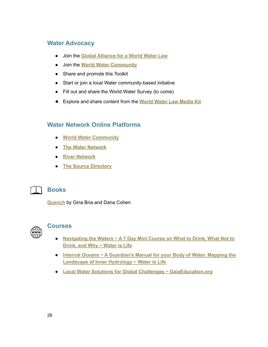#### <span id="page-27-0"></span>**Water Advocacy**

- <span id="page-27-1"></span>● Join the **Global [Alliance](https://www.worldwatercommunity.com/join-the-global-alliance-for-a-world-water-law/) for a World Water Law**
- <span id="page-27-2"></span>● Join the **World Water [Community](https://www.worldwatercommunity.com/)**
- Share and promote this Toolkit
- Start or join a local Water community-based initiative
- Fill out and share the World Water Survey (to come)
- <span id="page-27-4"></span><span id="page-27-3"></span>● Explore and share content from the **World Water Law [Media](https://www.dropbox.com/s/lkf7o2cov7ewuuj/OVERVIEW~MEDIA%20KIT.pdf?dl=0) Kit**

#### **Water Network Online Platforms**

- **World Water [Community](https://www.worldwatercommunity.com/)**
- **The Water [Network](https://thewaternetwork.com/)**
- **River [Network](https://www.rivernetwork.org/)**
- **The Source [Directory](https://www.thesourcedirectory.org/)**



#### <span id="page-27-5"></span>**Books**

<span id="page-27-6"></span>**[Quench](https://drdanacohen.com/book/)** by Gina Bria and Dana Cohen



#### **Courses**

- **[Navigating](https://waterislife.teachable.com/p/water-empowerment-7-day-crash-course) the Waters ~ A 7 Day Mini Course on What to Drink, What Not to [Drink,](https://waterislife.teachable.com/p/water-empowerment-7-day-crash-course) and Why ~ Water is Life**
- **Internal Oceans ~ A [Guardian's](https://waterislife.teachable.com/p/internal-oceans) Manual for your Body of Water. Mapping the [Landscape](https://waterislife.teachable.com/p/internal-oceans) of Inner Hydrology ~ Water is Life**
- **Local Water Solutions for Global Challenges ~ [GaiaEducation.org](https://www.gaiaeducation.org/elearning-programmes/local-water-solutions-for-global-challenges/)**